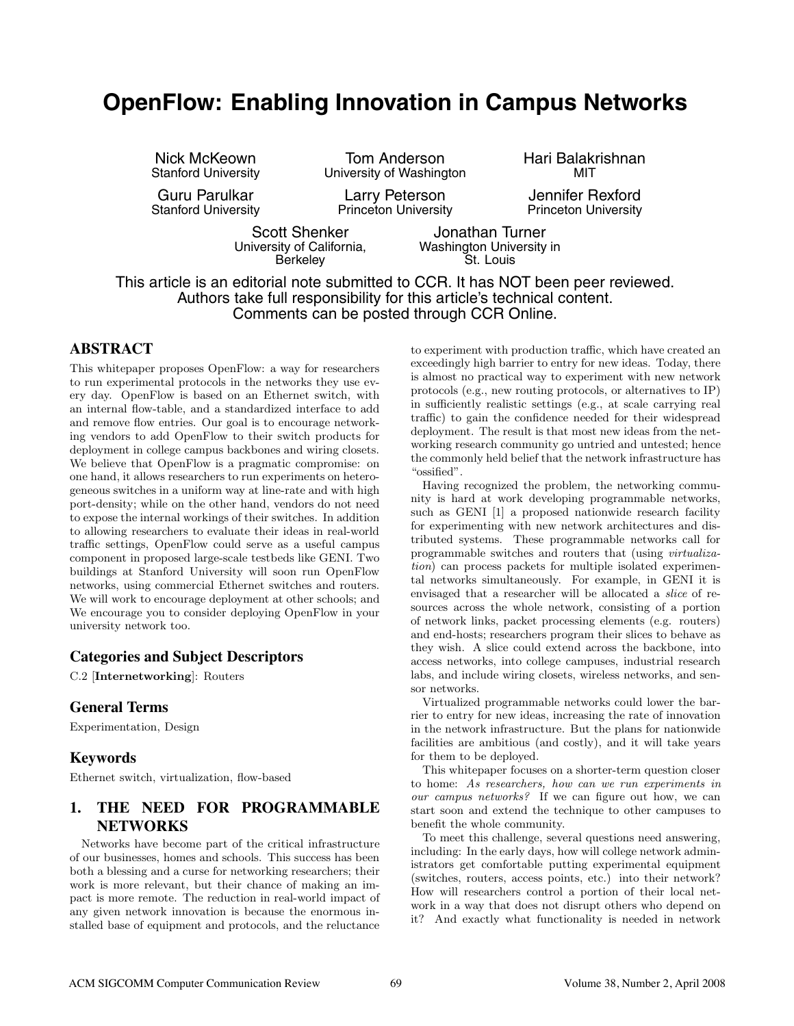# **OpenFlow: Enabling Innovation in Campus Networks**

Nick McKeown Stanford University

Guru Parulkar Stanford University

Tom Anderson University of Washington Hari Balakrishnan MIT

Larry Peterson Princeton University

Jennifer Rexford Princeton University

Scott Shenker University of California, **Berkeley** 

Jonathan Turner Washington University in St. Louis

This article is an editorial note submitted to CCR. It has NOT been peer reviewed. Authors take full responsibility for this article's technical content. Comments can be posted through CCR Online.

# **ABSTRACT**

This whitepaper proposes OpenFlow: a way for researchers to run experimental protocols in the networks they use every day. OpenFlow is based on an Ethernet switch, with an internal flow-table, and a standardized interface to add and remove flow entries. Our goal is to encourage networking vendors to add OpenFlow to their switch products for deployment in college campus backbones and wiring closets. We believe that OpenFlow is a pragmatic compromise: on one hand, it allows researchers to run experiments on heterogeneous switches in a uniform way at line-rate and with high port-density; while on the other hand, vendors do not need to expose the internal workings of their switches. In addition to allowing researchers to evaluate their ideas in real-world traffic settings, OpenFlow could serve as a useful campus component in proposed large-scale testbeds like GENI. Two buildings at Stanford University will soon run OpenFlow networks, using commercial Ethernet switches and routers. We will work to encourage deployment at other schools; and We encourage you to consider deploying OpenFlow in your university network too.

## **Categories and Subject Descriptors**

C.2 [Internetworking]: Routers

## **General Terms**

Experimentation, Design

## **Keywords**

Ethernet switch, virtualization, flow-based

# **1. THE NEED FOR PROGRAMMABLE NETWORKS**

Networks have become part of the critical infrastructure of our businesses, homes and schools. This success has been both a blessing and a curse for networking researchers; their work is more relevant, but their chance of making an impact is more remote. The reduction in real-world impact of any given network innovation is because the enormous installed base of equipment and protocols, and the reluctance to experiment with production traffic, which have created an exceedingly high barrier to entry for new ideas. Today, there is almost no practical way to experiment with new network protocols (e.g., new routing protocols, or alternatives to IP) in sufficiently realistic settings (e.g., at scale carrying real traffic) to gain the confidence needed for their widespread deployment. The result is that most new ideas from the networking research community go untried and untested; hence the commonly held belief that the network infrastructure has "ossified".

Having recognized the problem, the networking community is hard at work developing programmable networks, such as GENI [1] a proposed nationwide research facility for experimenting with new network architectures and distributed systems. These programmable networks call for programmable switches and routers that (using virtualization) can process packets for multiple isolated experimental networks simultaneously. For example, in GENI it is envisaged that a researcher will be allocated a slice of resources across the whole network, consisting of a portion of network links, packet processing elements (e.g. routers) and end-hosts; researchers program their slices to behave as they wish. A slice could extend across the backbone, into access networks, into college campuses, industrial research labs, and include wiring closets, wireless networks, and sensor networks.

Virtualized programmable networks could lower the barrier to entry for new ideas, increasing the rate of innovation in the network infrastructure. But the plans for nationwide facilities are ambitious (and costly), and it will take years for them to be deployed.

This whitepaper focuses on a shorter-term question closer to home: As researchers, how can we run experiments in our campus networks? If we can figure out how, we can start soon and extend the technique to other campuses to benefit the whole community.

To meet this challenge, several questions need answering, including: In the early days, how will college network administrators get comfortable putting experimental equipment (switches, routers, access points, etc.) into their network? How will researchers control a portion of their local network in a way that does not disrupt others who depend on it? And exactly what functionality is needed in network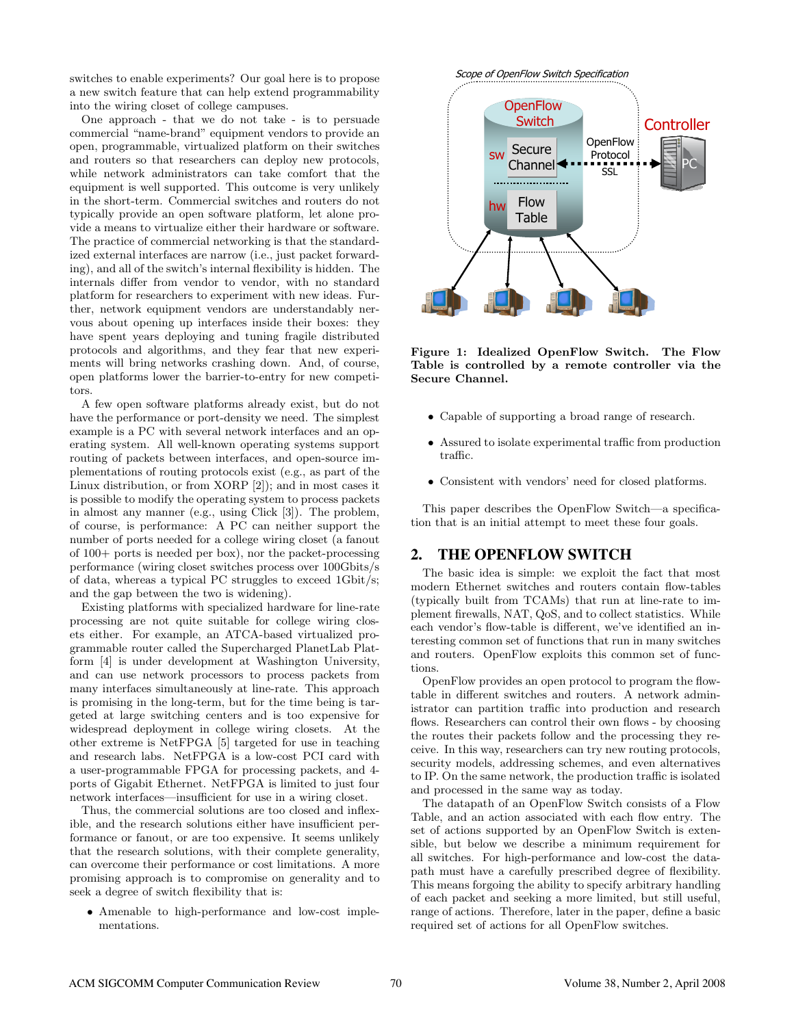switches to enable experiments? Our goal here is to propose a new switch feature that can help extend programmability into the wiring closet of college campuses.

One approach - that we do not take - is to persuade commercial "name-brand" equipment vendors to provide an open, programmable, virtualized platform on their switches and routers so that researchers can deploy new protocols, while network administrators can take comfort that the equipment is well supported. This outcome is very unlikely in the short-term. Commercial switches and routers do not typically provide an open software platform, let alone provide a means to virtualize either their hardware or software. The practice of commercial networking is that the standardized external interfaces are narrow (i.e., just packet forwarding), and all of the switch's internal flexibility is hidden. The internals differ from vendor to vendor, with no standard platform for researchers to experiment with new ideas. Further, network equipment vendors are understandably nervous about opening up interfaces inside their boxes: they have spent years deploying and tuning fragile distributed protocols and algorithms, and they fear that new experiments will bring networks crashing down. And, of course, open platforms lower the barrier-to-entry for new competitors.

A few open software platforms already exist, but do not have the performance or port-density we need. The simplest example is a PC with several network interfaces and an operating system. All well-known operating systems support routing of packets between interfaces, and open-source implementations of routing protocols exist (e.g., as part of the Linux distribution, or from XORP [2]); and in most cases it is possible to modify the operating system to process packets in almost any manner (e.g., using Click [3]). The problem, of course, is performance: A PC can neither support the number of ports needed for a college wiring closet (a fanout of 100+ ports is needed per box), nor the packet-processing performance (wiring closet switches process over 100Gbits/s of data, whereas a typical PC struggles to exceed 1Gbit/s; and the gap between the two is widening).

Existing platforms with specialized hardware for line-rate processing are not quite suitable for college wiring closets either. For example, an ATCA-based virtualized programmable router called the Supercharged PlanetLab Platform [4] is under development at Washington University, and can use network processors to process packets from many interfaces simultaneously at line-rate. This approach is promising in the long-term, but for the time being is targeted at large switching centers and is too expensive for widespread deployment in college wiring closets. At the other extreme is NetFPGA [5] targeted for use in teaching and research labs. NetFPGA is a low-cost PCI card with a user-programmable FPGA for processing packets, and 4 ports of Gigabit Ethernet. NetFPGA is limited to just four network interfaces—insufficient for use in a wiring closet.

Thus, the commercial solutions are too closed and inflexible, and the research solutions either have insufficient performance or fanout, or are too expensive. It seems unlikely that the research solutions, with their complete generality, can overcome their performance or cost limitations. A more promising approach is to compromise on generality and to seek a degree of switch flexibility that is:

• Amenable to high-performance and low-cost implementations.



Figure 1: Idealized OpenFlow Switch. The Flow Table is controlled by a remote controller via the Secure Channel.

- Capable of supporting a broad range of research.
- Assured to isolate experimental traffic from production traffic.
- Consistent with vendors' need for closed platforms.

This paper describes the OpenFlow Switch—a specification that is an initial attempt to meet these four goals.

## **2. THE OPENFLOW SWITCH**

The basic idea is simple: we exploit the fact that most modern Ethernet switches and routers contain flow-tables (typically built from TCAMs) that run at line-rate to implement firewalls, NAT, QoS, and to collect statistics. While each vendor's flow-table is different, we've identified an interesting common set of functions that run in many switches and routers. OpenFlow exploits this common set of functions.

OpenFlow provides an open protocol to program the flowtable in different switches and routers. A network administrator can partition traffic into production and research flows. Researchers can control their own flows - by choosing the routes their packets follow and the processing they receive. In this way, researchers can try new routing protocols, security models, addressing schemes, and even alternatives to IP. On the same network, the production traffic is isolated and processed in the same way as today.

The datapath of an OpenFlow Switch consists of a Flow Table, and an action associated with each flow entry. The set of actions supported by an OpenFlow Switch is extensible, but below we describe a minimum requirement for all switches. For high-performance and low-cost the datapath must have a carefully prescribed degree of flexibility. This means forgoing the ability to specify arbitrary handling of each packet and seeking a more limited, but still useful, range of actions. Therefore, later in the paper, define a basic required set of actions for all OpenFlow switches.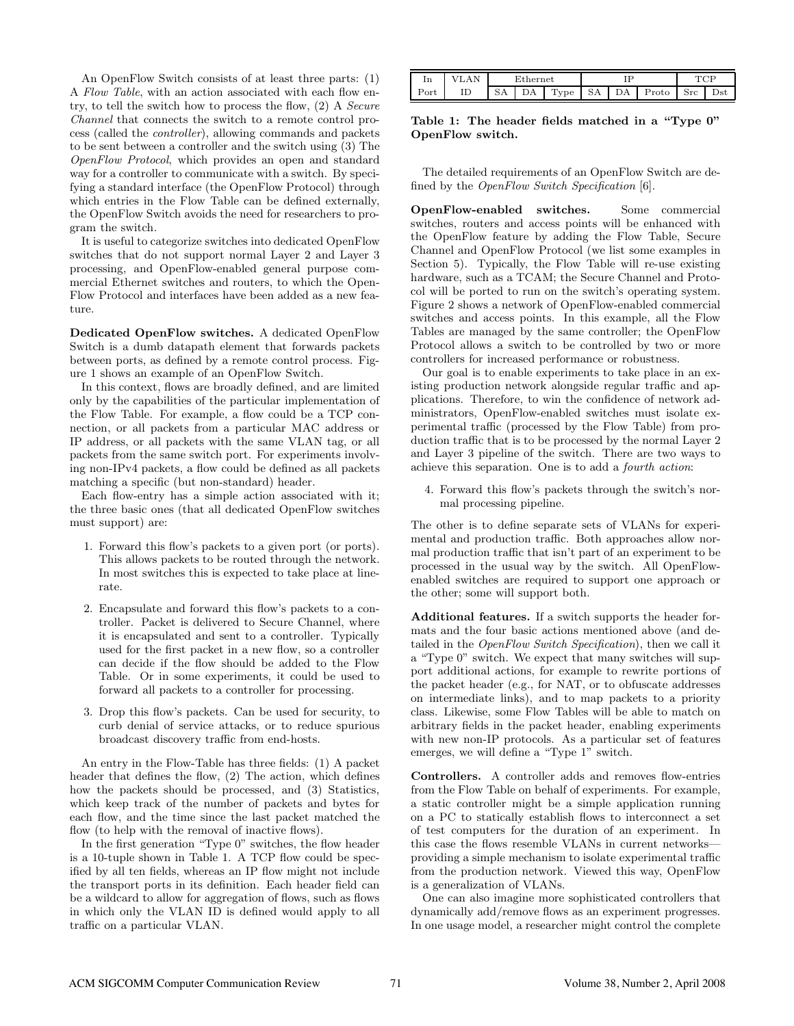An OpenFlow Switch consists of at least three parts: (1) A Flow Table, with an action associated with each flow entry, to tell the switch how to process the flow, (2) A Secure Channel that connects the switch to a remote control process (called the controller), allowing commands and packets to be sent between a controller and the switch using (3) The OpenFlow Protocol, which provides an open and standard way for a controller to communicate with a switch. By specifying a standard interface (the OpenFlow Protocol) through which entries in the Flow Table can be defined externally, the OpenFlow Switch avoids the need for researchers to program the switch.

It is useful to categorize switches into dedicated OpenFlow switches that do not support normal Layer 2 and Layer 3 processing, and OpenFlow-enabled general purpose commercial Ethernet switches and routers, to which the Open-Flow Protocol and interfaces have been added as a new feature.

Dedicated OpenFlow switches. A dedicated OpenFlow Switch is a dumb datapath element that forwards packets between ports, as defined by a remote control process. Figure 1 shows an example of an OpenFlow Switch.

In this context, flows are broadly defined, and are limited only by the capabilities of the particular implementation of the Flow Table. For example, a flow could be a TCP connection, or all packets from a particular MAC address or IP address, or all packets with the same VLAN tag, or all packets from the same switch port. For experiments involving non-IPv4 packets, a flow could be defined as all packets matching a specific (but non-standard) header.

Each flow-entry has a simple action associated with it; the three basic ones (that all dedicated OpenFlow switches must support) are:

- 1. Forward this flow's packets to a given port (or ports). This allows packets to be routed through the network. In most switches this is expected to take place at linerate.
- 2. Encapsulate and forward this flow's packets to a controller. Packet is delivered to Secure Channel, where it is encapsulated and sent to a controller. Typically used for the first packet in a new flow, so a controller can decide if the flow should be added to the Flow Table. Or in some experiments, it could be used to forward all packets to a controller for processing.
- 3. Drop this flow's packets. Can be used for security, to curb denial of service attacks, or to reduce spurious broadcast discovery traffic from end-hosts.

An entry in the Flow-Table has three fields: (1) A packet header that defines the flow, (2) The action, which defines how the packets should be processed, and (3) Statistics, which keep track of the number of packets and bytes for each flow, and the time since the last packet matched the flow (to help with the removal of inactive flows).

In the first generation "Type 0" switches, the flow header is a 10-tuple shown in Table 1. A TCP flow could be specified by all ten fields, whereas an IP flow might not include the transport ports in its definition. Each header field can be a wildcard to allow for aggregation of flows, such as flows in which only the VLAN ID is defined would apply to all traffic on a particular VLAN.

| In   | ----    | Ethernet            |    |                             | ᅭ                   |         |                          | ັ                       |              |
|------|---------|---------------------|----|-----------------------------|---------------------|---------|--------------------------|-------------------------|--------------|
| Port | тm<br>⊥ | $\sim$ $\sim$<br>DА | DΑ | $\mathbf{m}$<br><b>v</b> pe | $\sim$ $\sim$<br>DА | ÷<br>١A | $\mathbf{\tau}$<br>'roto | $\sim$<br>$_{\rm{Src}}$ | $_{\rm Dst}$ |

Table 1: The header fields matched in a "Type 0" OpenFlow switch.

The detailed requirements of an OpenFlow Switch are defined by the OpenFlow Switch Specification [6].

OpenFlow-enabled switches. Some commercial switches, routers and access points will be enhanced with the OpenFlow feature by adding the Flow Table, Secure Channel and OpenFlow Protocol (we list some examples in Section 5). Typically, the Flow Table will re-use existing hardware, such as a TCAM; the Secure Channel and Protocol will be ported to run on the switch's operating system. Figure 2 shows a network of OpenFlow-enabled commercial switches and access points. In this example, all the Flow Tables are managed by the same controller; the OpenFlow Protocol allows a switch to be controlled by two or more controllers for increased performance or robustness.

Our goal is to enable experiments to take place in an existing production network alongside regular traffic and applications. Therefore, to win the confidence of network administrators, OpenFlow-enabled switches must isolate experimental traffic (processed by the Flow Table) from production traffic that is to be processed by the normal Layer 2 and Layer 3 pipeline of the switch. There are two ways to achieve this separation. One is to add a fourth action:

4. Forward this flow's packets through the switch's normal processing pipeline.

The other is to define separate sets of VLANs for experimental and production traffic. Both approaches allow normal production traffic that isn't part of an experiment to be processed in the usual way by the switch. All OpenFlowenabled switches are required to support one approach or the other; some will support both.

Additional features. If a switch supports the header formats and the four basic actions mentioned above (and detailed in the OpenFlow Switch Specification), then we call it a "Type 0" switch. We expect that many switches will support additional actions, for example to rewrite portions of the packet header (e.g., for NAT, or to obfuscate addresses on intermediate links), and to map packets to a priority class. Likewise, some Flow Tables will be able to match on arbitrary fields in the packet header, enabling experiments with new non-IP protocols. As a particular set of features emerges, we will define a "Type 1" switch.

Controllers. A controller adds and removes flow-entries from the Flow Table on behalf of experiments. For example, a static controller might be a simple application running on a PC to statically establish flows to interconnect a set of test computers for the duration of an experiment. In this case the flows resemble VLANs in current networks providing a simple mechanism to isolate experimental traffic from the production network. Viewed this way, OpenFlow is a generalization of VLANs.

One can also imagine more sophisticated controllers that dynamically add/remove flows as an experiment progresses. In one usage model, a researcher might control the complete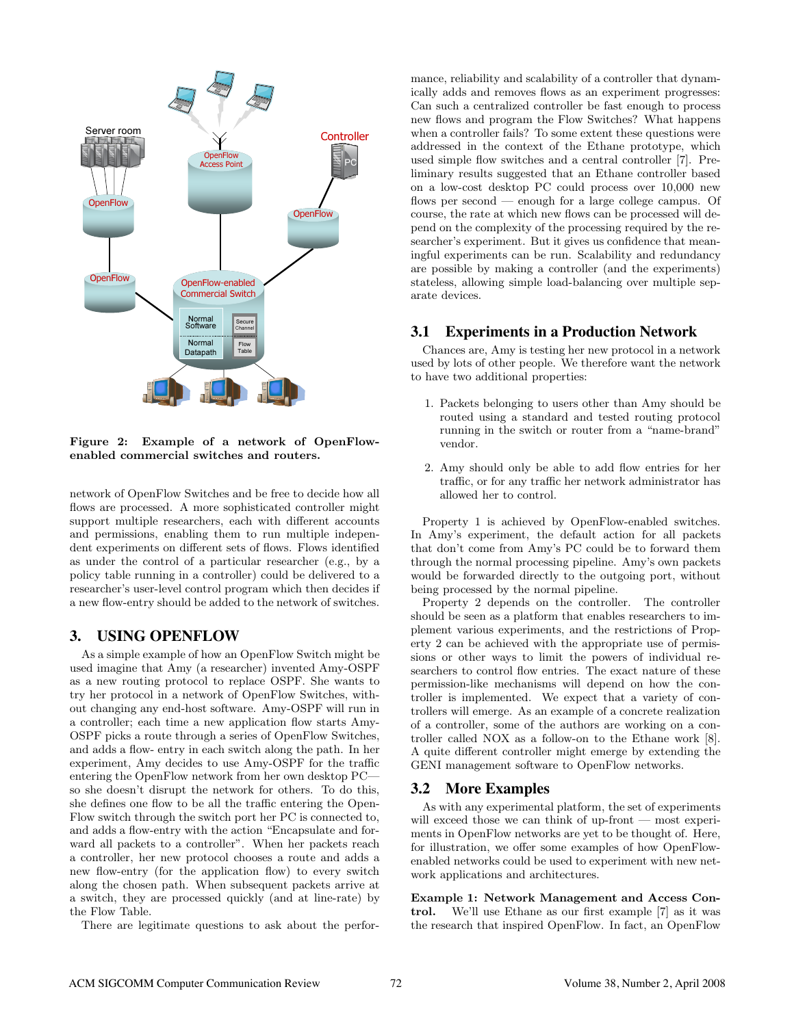

Figure 2: Example of a network of OpenFlowenabled commercial switches and routers.

network of OpenFlow Switches and be free to decide how all flows are processed. A more sophisticated controller might support multiple researchers, each with different accounts and permissions, enabling them to run multiple independent experiments on different sets of flows. Flows identified as under the control of a particular researcher (e.g., by a policy table running in a controller) could be delivered to a researcher's user-level control program which then decides if a new flow-entry should be added to the network of switches.

#### **3. USING OPENFLOW**

As a simple example of how an OpenFlow Switch might be used imagine that Amy (a researcher) invented Amy-OSPF as a new routing protocol to replace OSPF. She wants to try her protocol in a network of OpenFlow Switches, without changing any end-host software. Amy-OSPF will run in a controller; each time a new application flow starts Amy-OSPF picks a route through a series of OpenFlow Switches, and adds a flow- entry in each switch along the path. In her experiment, Amy decides to use Amy-OSPF for the traffic entering the OpenFlow network from her own desktop PC so she doesn't disrupt the network for others. To do this, she defines one flow to be all the traffic entering the Open-Flow switch through the switch port her PC is connected to, and adds a flow-entry with the action "Encapsulate and forward all packets to a controller". When her packets reach a controller, her new protocol chooses a route and adds a new flow-entry (for the application flow) to every switch along the chosen path. When subsequent packets arrive at a switch, they are processed quickly (and at line-rate) by the Flow Table.

There are legitimate questions to ask about the perfor-

mance, reliability and scalability of a controller that dynamically adds and removes flows as an experiment progresses: Can such a centralized controller be fast enough to process new flows and program the Flow Switches? What happens when a controller fails? To some extent these questions were addressed in the context of the Ethane prototype, which used simple flow switches and a central controller [7]. Preliminary results suggested that an Ethane controller based on a low-cost desktop PC could process over 10,000 new flows per second — enough for a large college campus. Of course, the rate at which new flows can be processed will depend on the complexity of the processing required by the researcher's experiment. But it gives us confidence that meaningful experiments can be run. Scalability and redundancy are possible by making a controller (and the experiments) stateless, allowing simple load-balancing over multiple separate devices.

#### **3.1 Experiments in a Production Network**

Chances are, Amy is testing her new protocol in a network used by lots of other people. We therefore want the network to have two additional properties:

- 1. Packets belonging to users other than Amy should be routed using a standard and tested routing protocol running in the switch or router from a "name-brand" vendor.
- 2. Amy should only be able to add flow entries for her traffic, or for any traffic her network administrator has allowed her to control.

Property 1 is achieved by OpenFlow-enabled switches. In Amy's experiment, the default action for all packets that don't come from Amy's PC could be to forward them through the normal processing pipeline. Amy's own packets would be forwarded directly to the outgoing port, without being processed by the normal pipeline.

Property 2 depends on the controller. The controller should be seen as a platform that enables researchers to implement various experiments, and the restrictions of Property 2 can be achieved with the appropriate use of permissions or other ways to limit the powers of individual researchers to control flow entries. The exact nature of these permission-like mechanisms will depend on how the controller is implemented. We expect that a variety of controllers will emerge. As an example of a concrete realization of a controller, some of the authors are working on a controller called NOX as a follow-on to the Ethane work [8]. A quite different controller might emerge by extending the GENI management software to OpenFlow networks.

## **3.2 More Examples**

As with any experimental platform, the set of experiments will exceed those we can think of up-front — most experiments in OpenFlow networks are yet to be thought of. Here, for illustration, we offer some examples of how OpenFlowenabled networks could be used to experiment with new network applications and architectures.

Example 1: Network Management and Access Control. We'll use Ethane as our first example [7] as it was the research that inspired OpenFlow. In fact, an OpenFlow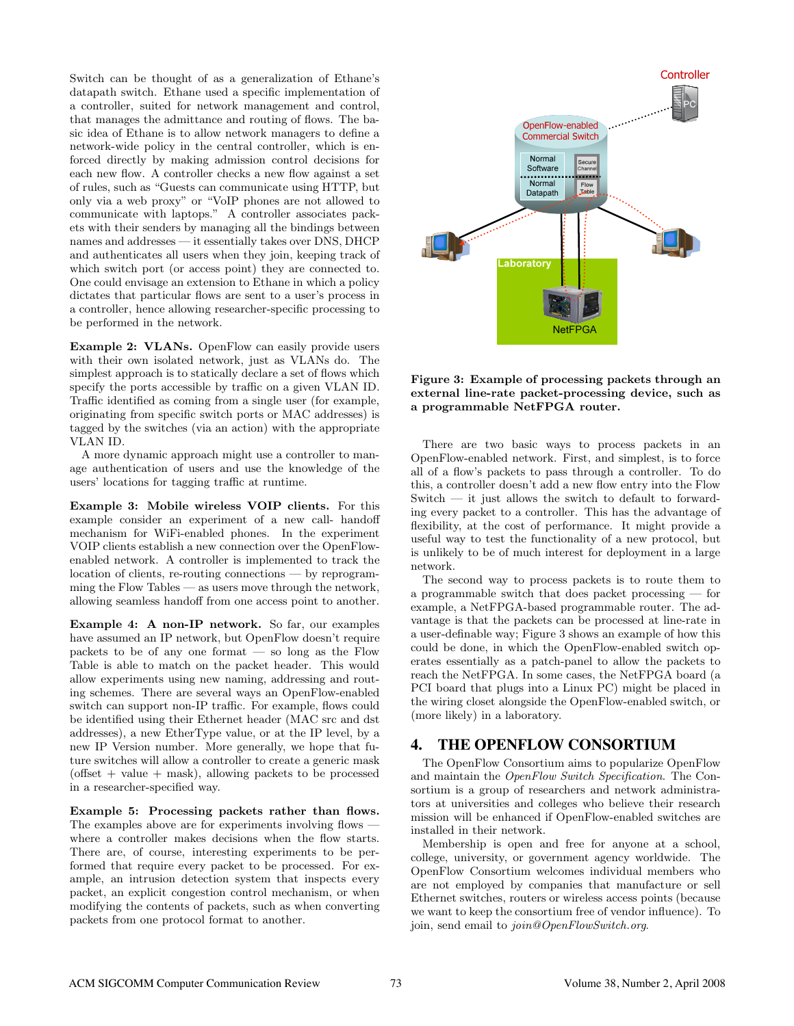Switch can be thought of as a generalization of Ethane's datapath switch. Ethane used a specific implementation of a controller, suited for network management and control, that manages the admittance and routing of flows. The basic idea of Ethane is to allow network managers to define a network-wide policy in the central controller, which is enforced directly by making admission control decisions for each new flow. A controller checks a new flow against a set of rules, such as "Guests can communicate using HTTP, but only via a web proxy" or "VoIP phones are not allowed to communicate with laptops." A controller associates packets with their senders by managing all the bindings between names and addresses — it essentially takes over DNS, DHCP and authenticates all users when they join, keeping track of which switch port (or access point) they are connected to. One could envisage an extension to Ethane in which a policy dictates that particular flows are sent to a user's process in a controller, hence allowing researcher-specific processing to be performed in the network.

Example 2: VLANs. OpenFlow can easily provide users with their own isolated network, just as VLANs do. The simplest approach is to statically declare a set of flows which specify the ports accessible by traffic on a given VLAN ID. Traffic identified as coming from a single user (for example, originating from specific switch ports or MAC addresses) is tagged by the switches (via an action) with the appropriate VLAN ID.

A more dynamic approach might use a controller to manage authentication of users and use the knowledge of the users' locations for tagging traffic at runtime.

Example 3: Mobile wireless VOIP clients. For this example consider an experiment of a new call- handoff mechanism for WiFi-enabled phones. In the experiment VOIP clients establish a new connection over the OpenFlowenabled network. A controller is implemented to track the location of clients, re-routing connections — by reprogramming the Flow Tables — as users move through the network, allowing seamless handoff from one access point to another.

Example 4: A non-IP network. So far, our examples have assumed an IP network, but OpenFlow doesn't require packets to be of any one format  $-$  so long as the Flow Table is able to match on the packet header. This would allow experiments using new naming, addressing and routing schemes. There are several ways an OpenFlow-enabled switch can support non-IP traffic. For example, flows could be identified using their Ethernet header (MAC src and dst addresses), a new EtherType value, or at the IP level, by a new IP Version number. More generally, we hope that future switches will allow a controller to create a generic mask  $(offset + value + mask)$ , allowing packets to be processed in a researcher-specified way.

Example 5: Processing packets rather than flows. The examples above are for experiments involving flows where a controller makes decisions when the flow starts. There are, of course, interesting experiments to be performed that require every packet to be processed. For example, an intrusion detection system that inspects every packet, an explicit congestion control mechanism, or when modifying the contents of packets, such as when converting packets from one protocol format to another.



Figure 3: Example of processing packets through an external line-rate packet-processing device, such as a programmable NetFPGA router.

There are two basic ways to process packets in an OpenFlow-enabled network. First, and simplest, is to force all of a flow's packets to pass through a controller. To do this, a controller doesn't add a new flow entry into the Flow Switch — it just allows the switch to default to forwarding every packet to a controller. This has the advantage of flexibility, at the cost of performance. It might provide a useful way to test the functionality of a new protocol, but is unlikely to be of much interest for deployment in a large network.

The second way to process packets is to route them to a programmable switch that does packet processing — for example, a NetFPGA-based programmable router. The advantage is that the packets can be processed at line-rate in a user-definable way; Figure 3 shows an example of how this could be done, in which the OpenFlow-enabled switch operates essentially as a patch-panel to allow the packets to reach the NetFPGA. In some cases, the NetFPGA board (a PCI board that plugs into a Linux PC) might be placed in the wiring closet alongside the OpenFlow-enabled switch, or (more likely) in a laboratory.

# **4. THE OPENFLOW CONSORTIUM**

The OpenFlow Consortium aims to popularize OpenFlow and maintain the OpenFlow Switch Specification. The Consortium is a group of researchers and network administrators at universities and colleges who believe their research mission will be enhanced if OpenFlow-enabled switches are installed in their network.

Membership is open and free for anyone at a school, college, university, or government agency worldwide. The OpenFlow Consortium welcomes individual members who are not employed by companies that manufacture or sell Ethernet switches, routers or wireless access points (because we want to keep the consortium free of vendor influence). To join, send email to join@OpenFlowSwitch.org.